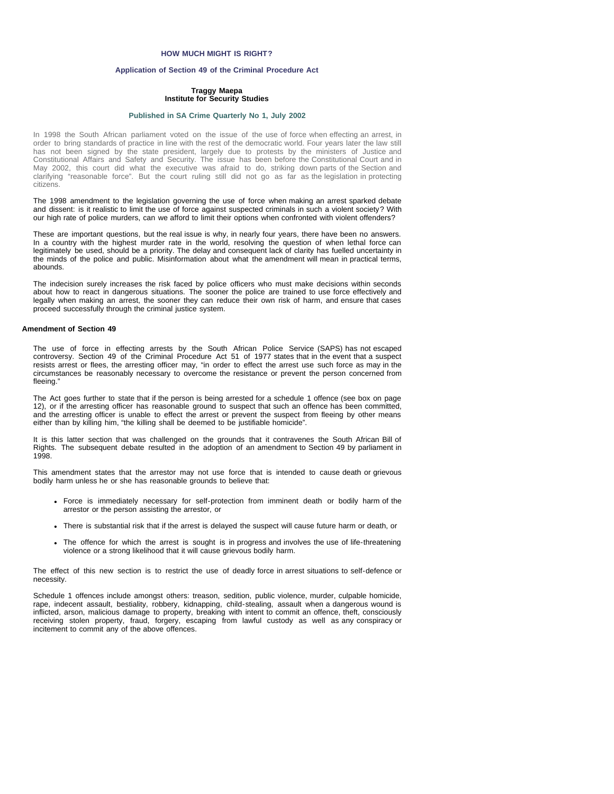# **HOW MUCH MIGHT IS RIGHT?**

# **Application of Section 49 of the Criminal Procedure Act**

## **Traggy Maepa Institute for Security Studies**

#### **[Published in SA Crime Quarterly No 1, July 2002](file:///Volumes/ISS%20Website/issafrica.org%202007-05-31/CrimeQ/No.1/Contents.html)**

In 1998 the South African parliament voted on the issue of the use of force when effecting an arrest, in order to bring standards of practice in line with the rest of the democratic world. Four years later the law still has not been signed by the state president, largely due to protests by the ministers of Justice and Constitutional Affairs and Safety and Security. The issue has been before the Constitutional Court and in May 2002, this court did what the executive was afraid to do, striking down parts of the Section and clarifying "reasonable force". But the court ruling still did not go as far as the legislation in protecting citizens.

The 1998 amendment to the legislation governing the use of force when making an arrest sparked debate and dissent: is it realistic to limit the use of force against suspected criminals in such a violent society? With our high rate of police murders, can we afford to limit their options when confronted with violent offenders?

These are important questions, but the real issue is why, in nearly four years, there have been no answers. In a country with the highest murder rate in the world, resolving the question of when lethal force can legitimately be used, should be a priority. The delay and consequent lack of clarity has fuelled uncertainty in the minds of the police and public. Misinformation about what the amendment will mean in practical terms, abounds.

The indecision surely increases the risk faced by police officers who must make decisions within seconds about how to react in dangerous situations. The sooner the police are trained to use force effectively and legally when making an arrest, the sooner they can reduce their own risk of harm, and ensure that cases proceed successfully through the criminal justice system.

### **Amendment of Section 49**

The use of force in effecting arrests by the South African Police Service (SAPS) has not escaped controversy. Section 49 of the Criminal Procedure Act 51 of 1977 states that in the event that a suspect resists arrest or flees, the arresting officer may, "in order to effect the arrest use such force as may in the circumstances be reasonably necessary to overcome the resistance or prevent the person concerned from fleeing."

The Act goes further to state that if the person is being arrested for a schedule 1 offence (see box on page 12), or if the arresting officer has reasonable ground to suspect that such an offence has been committed, and the arresting officer is unable to effect the arrest or prevent the suspect from fleeing by other means either than by killing him, "the killing shall be deemed to be justifiable homicide".

It is this latter section that was challenged on the grounds that it contravenes the South African Bill of Rights. The subsequent debate resulted in the adoption of an amendment to Section 49 by parliament in 1998.

This amendment states that the arrestor may not use force that is intended to cause death or grievous bodily harm unless he or she has reasonable grounds to believe that:

- Force is immediately necessary for self-protection from imminent death or bodily harm of the arrestor or the person assisting the arrestor, or
- There is substantial risk that if the arrest is delayed the suspect will cause future harm or death, or
- The offence for which the arrest is sought is in progress and involves the use of life-threatening violence or a strong likelihood that it will cause grievous bodily harm.

The effect of this new section is to restrict the use of deadly force in arrest situations to self-defence or necessity.

Schedule 1 offences include amongst others: treason, sedition, public violence, murder, culpable homicide, rape, indecent assault, bestiality, robbery, kidnapping, child-stealing, assault when a dangerous wound is inflicted, arson, malicious damage to property, breaking with intent to commit an offence, theft, consciously receiving stolen property, fraud, forgery, escaping from lawful custody as well as any conspiracy or incitement to commit any of the above offences.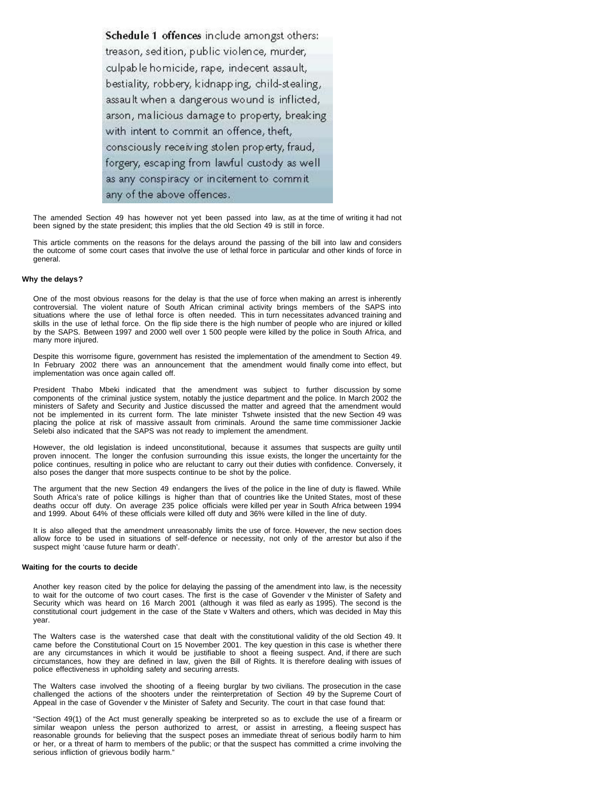Schedule 1 offences include amongst others: treason, sedition, public violence, murder, culpable homicide, rape, indecent assault, bestiality, robbery, kidnapping, child-stealing, assault when a dangerous wound is inflicted, arson, malicious damage to property, breaking with intent to commit an offence, theft, consciously receiving stolen property, fraud, forgery, escaping from lawful custody as well as any conspiracy or incitement to commit any of the above offences.

The amended Section 49 has however not yet been passed into law, as at the time of writing it had not been signed by the state president; this implies that the old Section 49 is still in force.

This article comments on the reasons for the delays around the passing of the bill into law and considers the outcome of some court cases that involve the use of lethal force in particular and other kinds of force in general.

## **Why the delays?**

One of the most obvious reasons for the delay is that the use of force when making an arrest is inherently controversial. The violent nature of South African criminal activity brings members of the SAPS into situations where the use of lethal force is often needed. This in turn necessitates advanced training and skills in the use of lethal force. On the flip side there is the high number of people who are injured or killed by the SAPS. Between 1997 and 2000 well over 1 500 people were killed by the police in South Africa, and many more injured.

Despite this worrisome figure, government has resisted the implementation of the amendment to Section 49. In February 2002 there was an announcement that the amendment would finally come into effect, but implementation was once again called off.

President Thabo Mbeki indicated that the amendment was subject to further discussion by some components of the criminal justice system, notably the justice department and the police. In March 2002 the ministers of Safety and Security and Justice discussed the matter and agreed that the amendment would not be implemented in its current form. The late minister Tshwete insisted that the new Section 49 was placing the police at risk of massive assault from criminals. Around the same time commissioner Jackie Selebi also indicated that the SAPS was not ready to implement the amendment.

However, the old legislation is indeed unconstitutional, because it assumes that suspects are guilty until proven innocent. The longer the confusion surrounding this issue exists, the longer the uncertainty for the police continues, resulting in police who are reluctant to carry out their duties with confidence. Conversely, it also poses the danger that more suspects continue to be shot by the police.

The argument that the new Section 49 endangers the lives of the police in the line of duty is flawed. While South Africa's rate of police killings is higher than that of countries like the United States, most of these deaths occur off duty. On average 235 police officials were killed per year in South Africa between 1994 and 1999. About 64% of these officials were killed off duty and 36% were killed in the line of duty.

It is also alleged that the amendment unreasonably limits the use of force. However, the new section does allow force to be used in situations of self-defence or necessity, not only of the arrestor but also if the suspect might 'cause future harm or death'.

## **Waiting for the courts to decide**

Another key reason cited by the police for delaying the passing of the amendment into law, is the necessity to wait for the outcome of two court cases. The first is the case of Govender v the Minister of Safety and Security which was heard on 16 March 2001 (although it was filed as early as 1995). The second is the constitutional court judgement in the case of the State v Walters and others, which was decided in May this year.

The Walters case is the watershed case that dealt with the constitutional validity of the old Section 49. It came before the Constitutional Court on 15 November 2001. The key question in this case is whether there are any circumstances in which it would be justifiable to shoot a fleeing suspect. And, if there are such circumstances, how they are defined in law, given the Bill of Rights. It is therefore dealing with issues of police effectiveness in upholding safety and securing arrests.

The Walters case involved the shooting of a fleeing burglar by two civilians. The prosecution in the case challenged the actions of the shooters under the reinterpretation of Section 49 by the Supreme Court of Appeal in the case of Govender v the Minister of Safety and Security. The court in that case found that:

"Section 49(1) of the Act must generally speaking be interpreted so as to exclude the use of a firearm or similar weapon unless the person authorized to arrest, or assist in arresting, a fleeing suspect has reasonable grounds for believing that the suspect poses an immediate threat of serious bodily harm to him or her, or a threat of harm to members of the public; or that the suspect has committed a crime involving the serious infliction of grievous bodily harm."